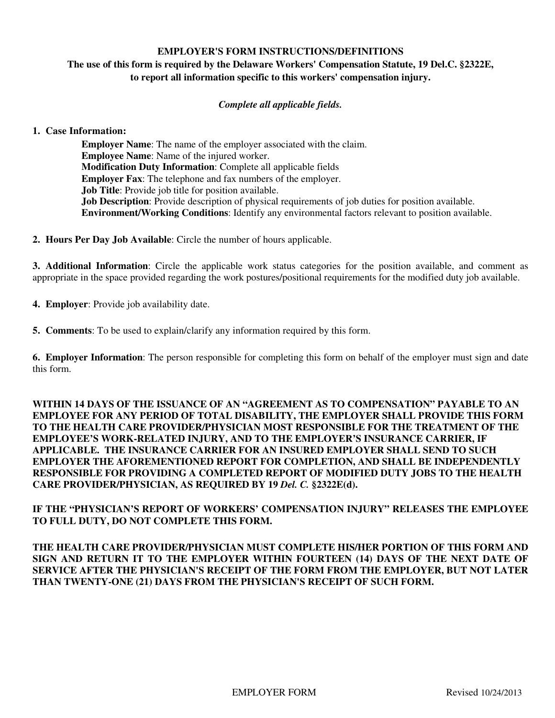#### **EMPLOYER'S FORM INSTRUCTIONS/DEFINITIONS**

# **The use of this form is required by the Delaware Workers' Compensation Statute, 19 Del.C. §2322E, to report all information specific to this workers' compensation injury.**

## *Complete all applicable fields.*

## **1. Case Information:**

**Employer Name**: The name of the employer associated with the claim. **Employee Name**: Name of the injured worker. **Modification Duty Information**: Complete all applicable fields **Employer Fax**: The telephone and fax numbers of the employer. **Job Title**: Provide job title for position available. **Job Description**: Provide description of physical requirements of job duties for position available. **Environment/Working Conditions**: Identify any environmental factors relevant to position available.

**2. Hours Per Day Job Available**: Circle the number of hours applicable.

**3. Additional Information**: Circle the applicable work status categories for the position available, and comment as appropriate in the space provided regarding the work postures/positional requirements for the modified duty job available.

**4. Employer**: Provide job availability date.

**5. Comments**: To be used to explain/clarify any information required by this form.

**6. Employer Information**: The person responsible for completing this form on behalf of the employer must sign and date this form.

**WITHIN 14 DAYS OF THE ISSUANCE OF AN "AGREEMENT AS TO COMPENSATION" PAYABLE TO AN EMPLOYEE FOR ANY PERIOD OF TOTAL DISABILITY, THE EMPLOYER SHALL PROVIDE THIS FORM TO THE HEALTH CARE PROVIDER/PHYSICIAN MOST RESPONSIBLE FOR THE TREATMENT OF THE EMPLOYEE'S WORK-RELATED INJURY, AND TO THE EMPLOYER'S INSURANCE CARRIER, IF APPLICABLE. THE INSURANCE CARRIER FOR AN INSURED EMPLOYER SHALL SEND TO SUCH EMPLOYER THE AFOREMENTIONED REPORT FOR COMPLETION, AND SHALL BE INDEPENDENTLY RESPONSIBLE FOR PROVIDING A COMPLETED REPORT OF MODIFIED DUTY JOBS TO THE HEALTH CARE PROVIDER/PHYSICIAN, AS REQUIRED BY 19** *Del. C.* **§2322E(d).** 

**IF THE "PHYSICIAN'S REPORT OF WORKERS' COMPENSATION INJURY" RELEASES THE EMPLOYEE TO FULL DUTY, DO NOT COMPLETE THIS FORM.** 

**THE HEALTH CARE PROVIDER/PHYSICIAN MUST COMPLETE HIS/HER PORTION OF THIS FORM AND SIGN AND RETURN IT TO THE EMPLOYER WITHIN FOURTEEN (14) DAYS OF THE NEXT DATE OF SERVICE AFTER THE PHYSICIAN'S RECEIPT OF THE FORM FROM THE EMPLOYER, BUT NOT LATER THAN TWENTY-ONE (21) DAYS FROM THE PHYSICIAN'S RECEIPT OF SUCH FORM.**